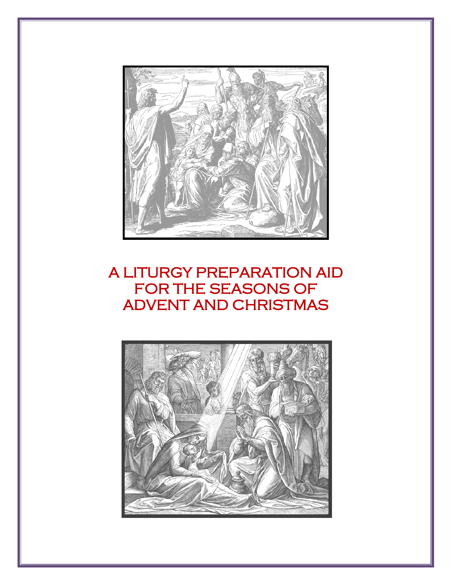

# A LITURGY PREPARATION AID FOR THE SEASONS OF ADVENT AND CHRISTMAS

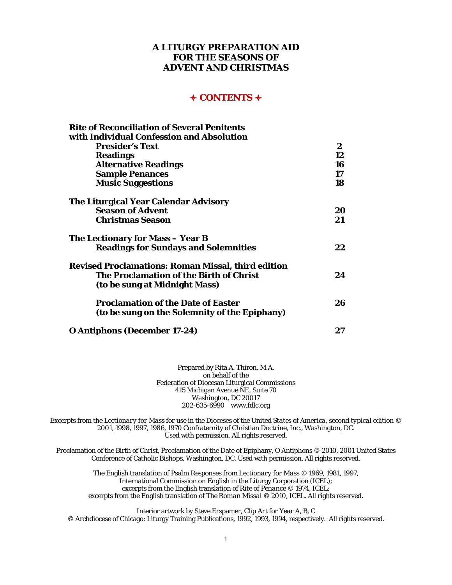#### **A LITURGY PREPARATION AID FOR THE SEASONS OF ADVENT AND CHRISTMAS**

#### **CONTENTS**

| <b>Rite of Reconciliation of Several Penitents</b>        |              |
|-----------------------------------------------------------|--------------|
| with Individual Confession and Absolution                 |              |
| <b>Presider's Text</b>                                    | $\mathbf{2}$ |
| <b>Readings</b>                                           | 12           |
| <b>Alternative Readings</b>                               | 16           |
| <b>Sample Penances</b>                                    | 17           |
| <b>Music Suggestions</b>                                  | 18           |
| <b>The Liturgical Year Calendar Advisory</b>              |              |
| <b>Season of Advent</b>                                   | 20           |
| <b>Christmas Season</b>                                   | 21           |
| The Lectionary for Mass – Year B                          |              |
| <b>Readings for Sundays and Solemnities</b>               | 22           |
| <b>Revised Proclamations: Roman Missal, third edition</b> |              |
| <b>The Proclamation of the Birth of Christ</b>            | 24           |
| (to be sung at Midnight Mass)                             |              |
| <b>Proclamation of the Date of Easter</b>                 | 26           |
| (to be sung on the Solemnity of the Epiphany)             |              |
| <b>O Antiphons (December 17-24)</b>                       | 27           |

Prepared by Rita A. Thiron, M.A. on behalf of the Federation of Diocesan Liturgical Commissions 415 Michigan Avenue NE, Suite 70 Washington, DC 20017 202-635-6990 [www.fdlc.org](http://www.fdlc.org/)

Excerpts from the *Lectionary for Mass for use in the Dioceses of the United States of America, second typical edition* © 2001, 1998, 1997, 1986, 1970 Confraternity of Christian Doctrine, Inc., Washington, DC. Used with permission. All rights reserved.

Proclamation of the Birth of Christ, Proclamation of the Date of Epiphany, O Antiphons © 2010, 2001 United States Conference of Catholic Bishops, Washington, DC. Used with permission. All rights reserved.

The English translation of Psalm Responses from *Lectionary for Mass* © 1969, 1981, 1997, International Commission on English in the Liturgy Corporation (ICEL); excerpts from the English translation of *Rite of Penance* © 1974, ICEL; excerpts from the English translation of *The Roman Missal* © 2010, ICEL. All rights reserved.

Interior artwork by Steve Erspamer, *Clip Art for Year A, B, C* © Archdiocese of Chicago: Liturgy Training Publications, 1992, 1993, 1994, respectively. All rights reserved.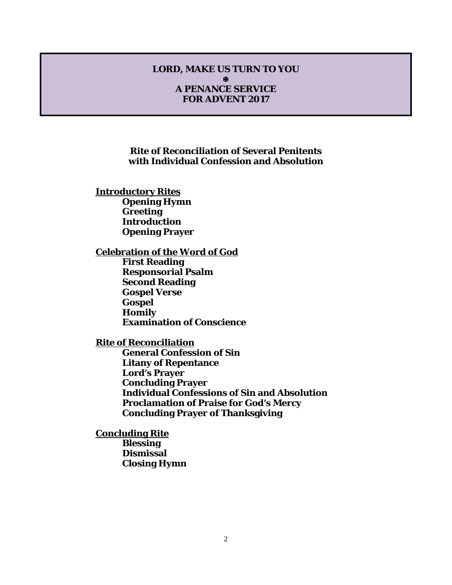#### **LORD, MAKE US TURN TO YOU** м **A PENANCE SERVICE FOR ADVENT 2017**

#### **Rite of Reconciliation of Several Penitents with Individual Confession and Absolution**

**Introductory Rites Opening Hymn Greeting Introduction Opening Prayer**

#### **Celebration of the Word of God**

**First Reading Responsorial Psalm Second Reading Gospel Verse Gospel Homily Examination of Conscience**

#### **Rite of Reconciliation**

**General Confession of Sin Litany of Repentance Lord's Prayer Concluding Prayer Individual Confessions of Sin and Absolution Proclamation of Praise for God's Mercy Concluding Prayer of Thanksgiving**

**Concluding Rite Blessing Dismissal Closing Hymn**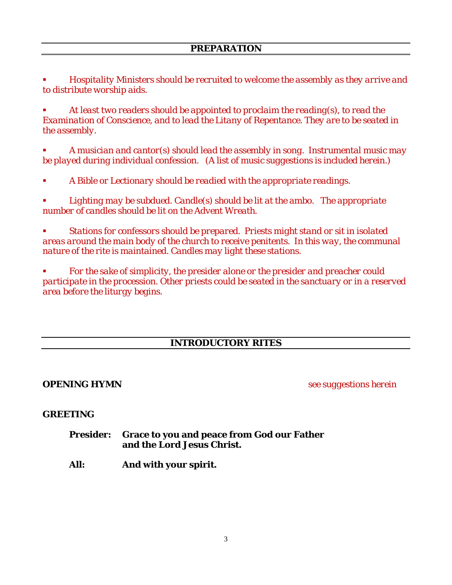*Hospitality Ministers should be recruited to welcome the assembly as they arrive and to distribute worship aids.*

 *At least two readers should be appointed to proclaim the reading(s), to read the Examination of Conscience, and to lead the Litany of Repentance. They are to be seated in the assembly.*

 *A musician and cantor(s) should lead the assembly in song. Instrumental music may be played during individual confession. (A list of music suggestions is included herein.)* 

*A Bible or Lectionary should be readied with the appropriate readings.*

 *Lighting may be subdued. Candle(s) should be lit at the ambo. The appropriate number of candles should be lit on the Advent Wreath.*

 *Stations for confessors should be prepared. Priests might stand or sit in isolated areas around the main body of the church to receive penitents. In this way, the communal nature of the rite is maintained. Candles may light these stations.*

 *For the sake of simplicity, the presider alone or the presider and preacher could participate in the procession. Other priests could be seated in the sanctuary or in a reserved area before the liturgy begins.*

#### **INTRODUCTORY RITES**

**OPENING HYMN** *see suggestions herein*

#### **GREETING**

- **Presider: Grace to you and peace from God our Father and the Lord Jesus Christ.**
- **All: And with your spirit.**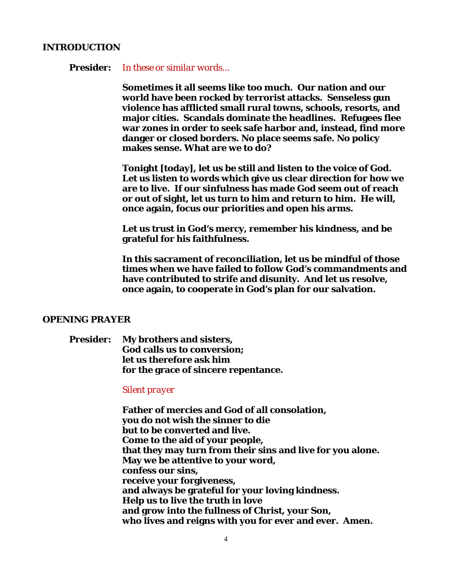#### **INTRODUCTION**

**Presider:** *In these or similar words...*

**Sometimes it all seems like too much. Our nation and our world have been rocked by terrorist attacks. Senseless gun violence has afflicted small rural towns, schools, resorts, and major cities. Scandals dominate the headlines. Refugees flee war zones in order to seek safe harbor and, instead, find more danger or closed borders. No place seems safe. No policy makes sense. What are we to do?**

**Tonight [today], let us be still and listen to the voice of God. Let us listen to words which give us clear direction for how we are to live. If our sinfulness has made God seem out of reach or out of sight, let us turn to him and return to him. He will, once again, focus our priorities and open his arms.** 

**Let us trust in God's mercy, remember his kindness, and be grateful for his faithfulness.**

**In this sacrament of reconciliation, let us be mindful of those times when we have failed to follow God's commandments and have contributed to strife and disunity. And let us resolve, once again, to cooperate in God's plan for our salvation.** 

#### **OPENING PRAYER**

**Presider: My brothers and sisters, God calls us to conversion; let us therefore ask him for the grace of sincere repentance.**

#### *Silent prayer*

**Father of mercies and God of all consolation, you do not wish the sinner to die but to be converted and live. Come to the aid of your people, that they may turn from their sins and live for you alone. May we be attentive to your word, confess our sins, receive your forgiveness, and always be grateful for your loving kindness. Help us to live the truth in love and grow into the fullness of Christ, your Son, who lives and reigns with you for ever and ever. Amen.**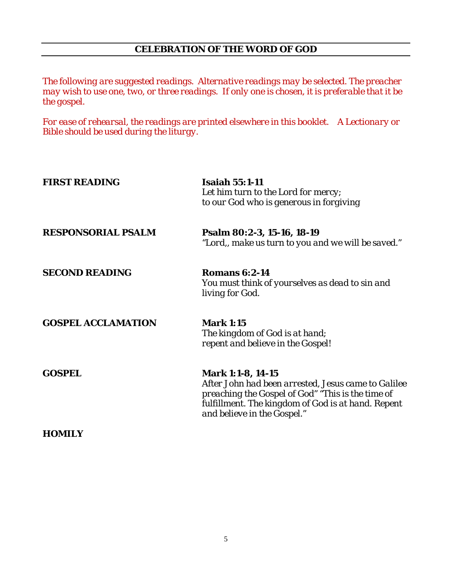#### **CELEBRATION OF THE WORD OF GOD**

*The following are suggested readings. Alternative readings may be selected. The preacher may wish to use one, two, or three readings. If only one is chosen, it is preferable that it be the gospel.* 

*For ease of rehearsal, the readings are printed elsewhere in this booklet. A Lectionary or Bible should be used during the liturgy.*

| <b>FIRST READING</b>      | <b>Isaiah 55:1-11</b><br>Let him turn to the Lord for mercy;<br>to our God who is generous in forgiving                                                                                                                   |
|---------------------------|---------------------------------------------------------------------------------------------------------------------------------------------------------------------------------------------------------------------------|
| <b>RESPONSORIAL PSALM</b> | Psalm 80:2-3, 15-16, 18-19<br>"Lord,, make us turn to you and we will be saved."                                                                                                                                          |
| <b>SECOND READING</b>     | <b>Romans 6:2-14</b><br>You must think of yourselves as dead to sin and<br>living for God.                                                                                                                                |
| <b>GOSPEL ACCLAMATION</b> | <b>Mark 1:15</b><br>The kingdom of God is at hand;<br>repent and believe in the Gospel!                                                                                                                                   |
| <b>GOSPEL</b>             | <b>Mark 1:1-8, 14-15</b><br>After John had been arrested, Jesus came to Galilee<br>preaching the Gospel of God" "This is the time of<br>fulfillment. The kingdom of God is at hand. Repent<br>and believe in the Gospel." |
| HOMILY                    |                                                                                                                                                                                                                           |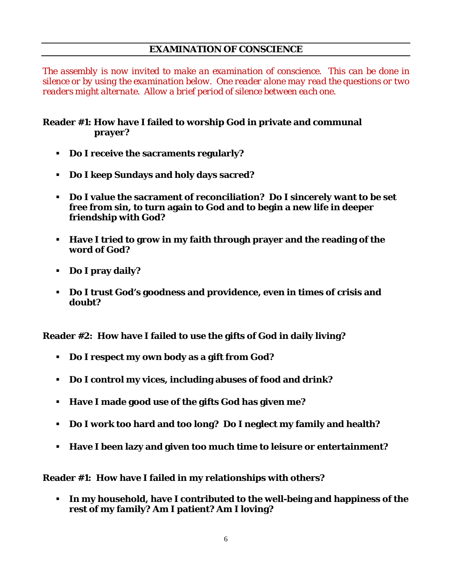#### **EXAMINATION OF CONSCIENCE**

*The assembly is now invited to make an examination of conscience. This can be done in silence or by using the examination below. One reader alone may read the questions or two readers might alternate. Allow a brief period of silence between each one.*

#### **Reader #1: How have I failed to worship God in private and communal prayer?**

- **Do I receive the sacraments regularly?**
- **Do I keep Sundays and holy days sacred?**
- **Do I value the sacrament of reconciliation? Do I sincerely want to be set free from sin, to turn again to God and to begin a new life in deeper friendship with God?**
- **Have I tried to grow in my faith through prayer and the reading of the word of God?**
- **Do I pray daily?**
- **Do I trust God's goodness and providence, even in times of crisis and doubt?**

**Reader #2: How have I failed to use the gifts of God in daily living?** 

- **Do I respect my own body as a gift from God?**
- **Do I control my vices, including abuses of food and drink?**
- **Have I made good use of the gifts God has given me?**
- **Do I work too hard and too long? Do I neglect my family and health?**
- **Have I been lazy and given too much time to leisure or entertainment?**

**Reader #1: How have I failed in my relationships with others?**

 **In my household, have I contributed to the well-being and happiness of the rest of my family? Am I patient? Am I loving?**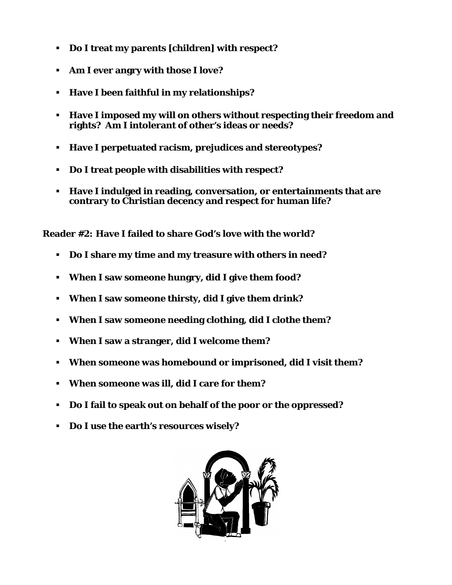- **Do I treat my parents [children] with respect?**
- **Am I ever angry with those I love?**
- **Have I been faithful in my relationships?**
- **Have I imposed my will on others without respecting their freedom and rights? Am I intolerant of other's ideas or needs?**
- **Have I perpetuated racism, prejudices and stereotypes?**
- **Do I treat people with disabilities with respect?**
- **Have I indulged in reading, conversation, or entertainments that are contrary to Christian decency and respect for human life?**

**Reader #2: Have I failed to share God's love with the world?**

- **Do I share my time and my treasure with others in need?**
- **When I saw someone hungry, did I give them food?**
- **When I saw someone thirsty, did I give them drink?**
- **When I saw someone needing clothing, did I clothe them?**
- **When I saw a stranger, did I welcome them?**
- **When someone was homebound or imprisoned, did I visit them?**
- **When someone was ill, did I care for them?**
- **Do I fail to speak out on behalf of the poor or the oppressed?**
- **Do I use the earth's resources wisely?**

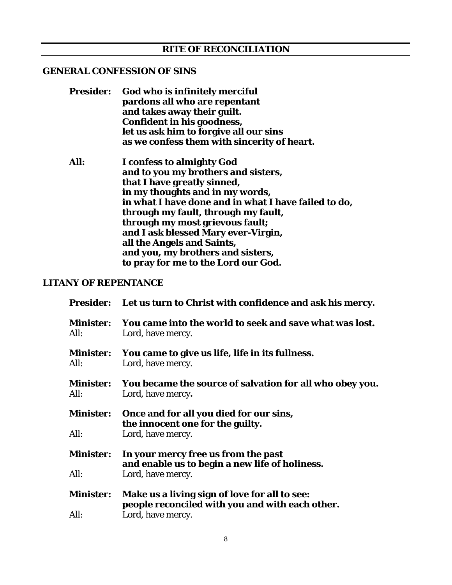#### **GENERAL CONFESSION OF SINS**

| <b>Presider:</b> | God who is infinitely merciful<br>pardons all who are repentant<br>and takes away their guilt.<br>Confident in his goodness,<br>let us ask him to forgive all our sins |
|------------------|------------------------------------------------------------------------------------------------------------------------------------------------------------------------|
|                  | as we confess them with sincerity of heart.                                                                                                                            |
| All:             | I confess to almighty God                                                                                                                                              |
|                  | and to you my brothers and sisters,                                                                                                                                    |
|                  | that I have greatly sinned,                                                                                                                                            |
|                  | in my thoughts and in my words,                                                                                                                                        |
|                  | in what I have done and in what I have failed to do,                                                                                                                   |
|                  | through my fault, through my fault,                                                                                                                                    |
|                  | through my most grievous fault;                                                                                                                                        |
|                  | and I ask blessed Mary ever-Virgin,                                                                                                                                    |
|                  | all the Angels and Saints,                                                                                                                                             |
|                  | and you, my brothers and sisters,                                                                                                                                      |
|                  | to pray for me to the Lord our God.                                                                                                                                    |

#### **LITANY OF REPENTANCE**

|                          | Presider: Let us turn to Christ with confidence and ask his mercy.                    |
|--------------------------|---------------------------------------------------------------------------------------|
| <b>Minister:</b><br>All: | You came into the world to seek and save what was lost.<br>Lord, have mercy.          |
| <b>Minister:</b><br>All: | You came to give us life, life in its fullness.<br>Lord, have mercy.                  |
| <b>Minister:</b><br>All: | You became the source of salvation for all who obey you.<br>Lord, have mercy.         |
| <b>Minister:</b>         | Once and for all you died for our sins,<br>the innocent one for the guilty.           |
| All:                     | Lord, have mercy.                                                                     |
| <b>Minister:</b>         | In your mercy free us from the past<br>and enable us to begin a new life of holiness. |
| All:                     | Lord, have mercy.                                                                     |
| <b>Minister:</b>         | Make us a living sign of love for all to see:                                         |
| All:                     | people reconciled with you and with each other.<br>Lord, have mercy.                  |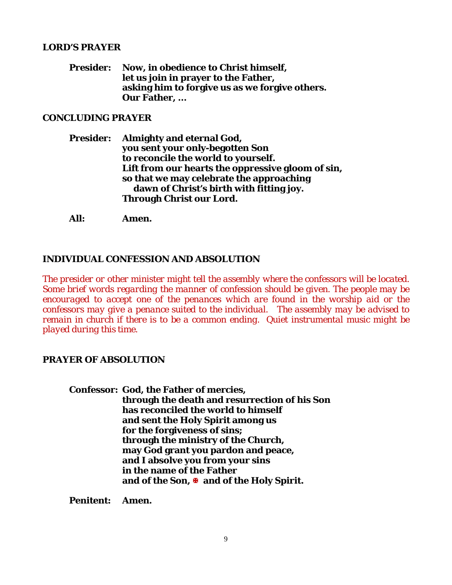#### **LORD'S PRAYER**

**Presider: Now, in obedience to Christ himself, let us join in prayer to the Father, asking him to forgive us as we forgive others. Our Father, ...**

#### **CONCLUDING PRAYER**

**Presider: Almighty and eternal God, you sent your only-begotten Son to reconcile the world to yourself. Lift from our hearts the oppressive gloom of sin, so that we may celebrate the approaching dawn of Christ's birth with fitting joy. Through Christ our Lord.** 

**All: Amen.**

#### **INDIVIDUAL CONFESSION AND ABSOLUTION**

*The presider or other minister might tell the assembly where the confessors will be located. Some brief words regarding the manner of confession should be given. The people may be encouraged to accept one of the penances which are found in the worship aid or the confessors may give a penance suited to the individual. The assembly may be advised to remain in church if there is to be a common ending. Quiet instrumental music might be played during this time*.

#### **PRAYER OF ABSOLUTION**

**Confessor: God, the Father of mercies, through the death and resurrection of his Son has reconciled the world to himself and sent the Holy Spirit among us for the forgiveness of sins; through the ministry of the Church, may God grant you pardon and peace, and I absolve you from your sins in the name of the Father and of the Son, and of the Holy Spirit.**

**Penitent: Amen.**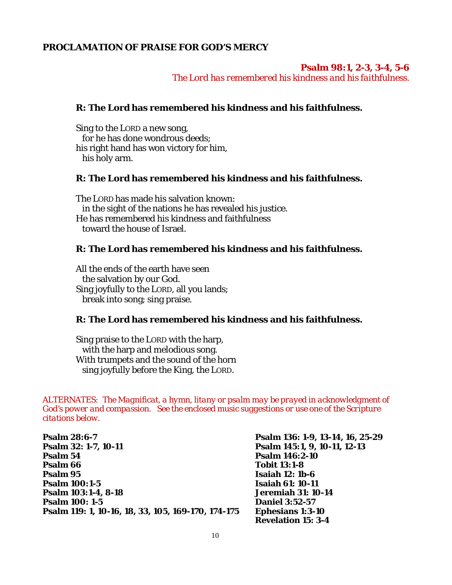#### **PROCLAMATION OF PRAISE FOR GOD'S MERCY**

#### **Psalm 98:1, 2-3, 3-4, 5-6**

*The Lord has remembered his kindness and his faithfulness.*

#### **R: The Lord has remembered his kindness and his faithfulness.**

Sing to the LORD a new song, for he has done wondrous deeds; his right hand has won victory for him, his holy arm.

#### **R: The Lord has remembered his kindness and his faithfulness.**

The LORD has made his salvation known: in the sight of the nations he has revealed his justice. He has remembered his kindness and faithfulness toward the house of Israel.

#### **R: The Lord has remembered his kindness and his faithfulness.**

All the ends of the earth have seen the salvation by our God. Sing joyfully to the LORD, all you lands; break into song; sing praise.

#### **R: The Lord has remembered his kindness and his faithfulness.**

Sing praise to the LORD with the harp, with the harp and melodious song. With trumpets and the sound of the horn sing joyfully before the King, the LORD.

*ALTERNATES: The Magnificat, a hymn, litany or psalm may be prayed in acknowledgment of God's power and compassion. See the enclosed music suggestions or use one of the Scripture citations below.*

**Psalm 28:6-7 Psalm 136: 1-9, 13-14, 16, 25-29 Psalm 54 Psalm 146:2-10 Psalm 66 Tobit 13:1-8 Psalm 95 Isaiah 12: 1b-6 Psalm 103:1-4, 8-18**<br>**Psalm 100: 1-5 Psalm 119: 1, 10-16, 18, 33, 105, 169-170, 174-175 Ephesians 1:3-10** 

**Psalm 32: 1-7, 10-11 Psalm 145:1, 9, 10-11, 12-13 Psalm 100:1-5 Isaiah 61: 10-11 Daniel 3:52-57 Revelation 15: 3-4**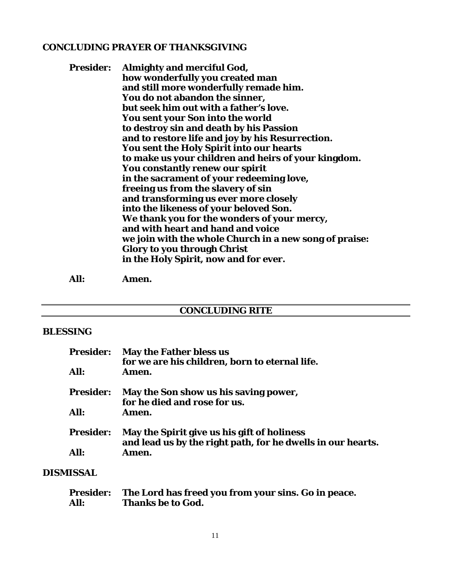#### **CONCLUDING PRAYER OF THANKSGIVING**

| <b>Presider:</b> | <b>Almighty and merciful God,</b>                      |
|------------------|--------------------------------------------------------|
|                  | how wonderfully you created man                        |
|                  | and still more wonderfully remade him.                 |
|                  | You do not abandon the sinner,                         |
|                  | but seek him out with a father's love.                 |
|                  | <b>You sent your Son into the world</b>                |
|                  | to destroy sin and death by his Passion                |
|                  | and to restore life and joy by his Resurrection.       |
|                  | <b>You sent the Holy Spirit into our hearts</b>        |
|                  | to make us your children and heirs of your kingdom.    |
|                  | <b>You constantly renew our spirit</b>                 |
|                  | in the sacrament of your redeeming love,               |
|                  | freeing us from the slavery of sin                     |
|                  | and transforming us ever more closely                  |
|                  | into the likeness of your beloved Son.                 |
|                  | We thank you for the wonders of your mercy,            |
|                  | and with heart and hand and voice                      |
|                  | we join with the whole Church in a new song of praise: |
|                  | <b>Glory to you through Christ</b>                     |
|                  | in the Holy Spirit, now and for ever.                  |
|                  |                                                        |

**All: Amen.**

#### **CONCLUDING RITE**

#### **BLESSING**

| <b>Presider:</b> | <b>May the Father bless us</b>                              |
|------------------|-------------------------------------------------------------|
|                  | for we are his children, born to eternal life.              |
| All:             | Amen.                                                       |
| <b>Presider:</b> | May the Son show us his saving power,                       |
|                  | for he died and rose for us.                                |
| All:             | Amen.                                                       |
| <b>Presider:</b> | May the Spirit give us his gift of holiness                 |
|                  | and lead us by the right path, for he dwells in our hearts. |
| All:             | Amen.                                                       |

### **DISMISSAL**

|      | Presider: The Lord has freed you from your sins. Go in peace. |
|------|---------------------------------------------------------------|
| All: | <b>Thanks be to God.</b>                                      |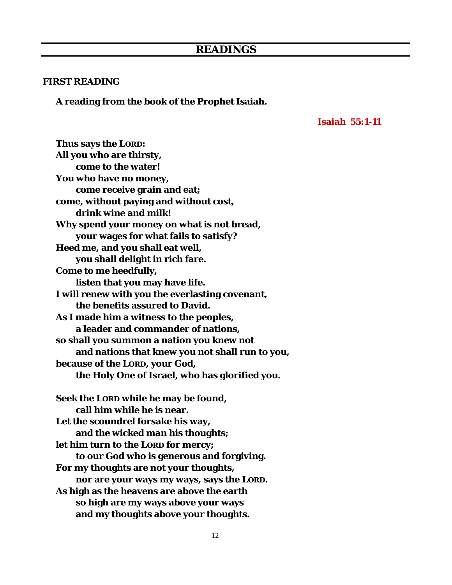#### **FIRST READING**

**A reading from the book of the Prophet Isaiah.**

#### **Isaiah 55:1-11**

**Thus says the LORD: All you who are thirsty, come to the water! You who have no money, come receive grain and eat; come, without paying and without cost, drink wine and milk! Why spend your money on what is not bread, your wages for what fails to satisfy? Heed me, and you shall eat well, you shall delight in rich fare. Come to me heedfully, listen that you may have life. I will renew with you the everlasting covenant, the benefits assured to David. As I made him a witness to the peoples, a leader and commander of nations, so shall you summon a nation you knew not and nations that knew you not shall run to you, because of the LORD, your God, the Holy One of Israel, who has glorified you. Seek the LORD while he may be found, call him while he is near. Let the scoundrel forsake his way, and the wicked man his thoughts; let him turn to the LORD for mercy; to our God who is generous and forgiving. For my thoughts are not your thoughts, nor are your ways my ways, says the LORD. As high as the heavens are above the earth so high are my ways above your ways and my thoughts above your thoughts.**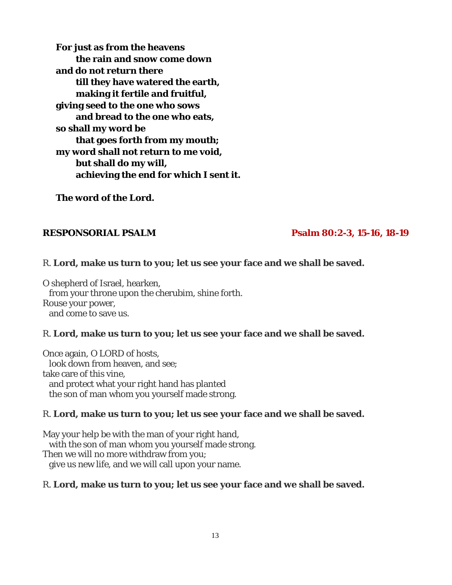**For just as from the heavens the rain and snow come down and do not return there till they have watered the earth, making it fertile and fruitful, giving seed to the one who sows and bread to the one who eats, so shall my word be that goes forth from my mouth; my word shall not return to me void, but shall do my will, achieving the end for which I sent it.**

**The word of the Lord.**

#### **RESPONSORIAL PSALM Psalm 80:2-3, 15-16, 18-19**

#### R. **Lord, make us turn to you; let us see your face and we shall be saved.**

O shepherd of Israel, hearken, from your throne upon the cherubim, shine forth. Rouse your power, and come to save us.

#### R. **Lord, make us turn to you; let us see your face and we shall be saved.**

Once again, O LORD of hosts, look down from heaven, and see; take care of this vine, and protect what your right hand has planted the son of man whom you yourself made strong.

#### R. **Lord, make us turn to you; let us see your face and we shall be saved.**

May your help be with the man of your right hand, with the son of man whom you yourself made strong. Then we will no more withdraw from you; give us new life, and we will call upon your name.

#### R. **Lord, make us turn to you; let us see your face and we shall be saved.**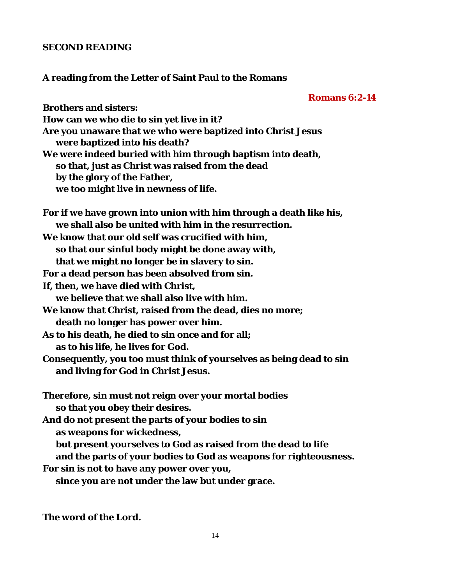#### **SECOND READING**

#### **A reading from the Letter of Saint Paul to the Romans**

#### **Romans 6:2-14**

**Brothers and sisters: How can we who die to sin yet live in it? Are you unaware that we who were baptized into Christ Jesus were baptized into his death? We were indeed buried with him through baptism into death, so that, just as Christ was raised from the dead by the glory of the Father, we too might live in newness of life. For if we have grown into union with him through a death like his, we shall also be united with him in the resurrection. We know that our old self was crucified with him, so that our sinful body might be done away with, that we might no longer be in slavery to sin. For a dead person has been absolved from sin. If, then, we have died with Christ, we believe that we shall also live with him. We know that Christ, raised from the dead, dies no more; death no longer has power over him. As to his death, he died to sin once and for all; as to his life, he lives for God. Consequently, you too must think of yourselves as being dead to sin and living for God in Christ Jesus. Therefore, sin must not reign over your mortal bodies so that you obey their desires. And do not present the parts of your bodies to sin as weapons for wickedness, but present yourselves to God as raised from the dead to life and the parts of your bodies to God as weapons for righteousness. For sin is not to have any power over you, since you are not under the law but under grace.**

**The word of the Lord.**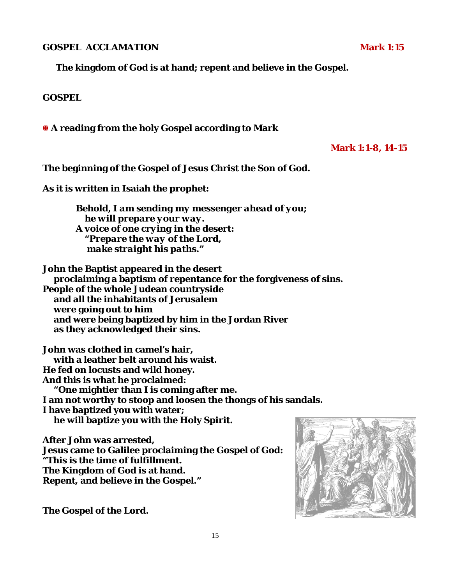**GOSPEL ACCLAMATION** Mark 1:15

**The kingdom of God is at hand; repent and believe in the Gospel.**

#### **GOSPEL**

**A reading from the holy Gospel according to Mark**

#### **Mark 1:1-8, 14-15**

**The beginning of the Gospel of Jesus Christ the Son of God.**

**As it is written in Isaiah the prophet:**

*Behold, I am sending my messenger ahead of you; he will prepare your way. A voice of one crying in the desert: "Prepare the way of the Lord, make straight his paths."*

**John the Baptist appeared in the desert proclaiming a baptism of repentance for the forgiveness of sins. People of the whole Judean countryside and all the inhabitants of Jerusalem were going out to him and were being baptized by him in the Jordan River as they acknowledged their sins.** 

**John was clothed in camel's hair, with a leather belt around his waist. He fed on locusts and wild honey. And this is what he proclaimed: "One mightier than I is coming after me. I am not worthy to stoop and loosen the thongs of his sandals. I have baptized you with water; he will baptize you with the Holy Spirit.**

**After John was arrested, Jesus came to Galilee proclaiming the Gospel of God: "This is the time of fulfillment. The Kingdom of God is at hand. Repent, and believe in the Gospel."**



**The Gospel of the Lord.**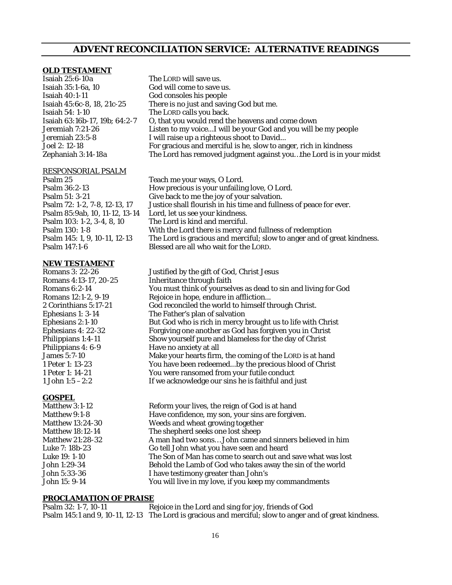#### **ADVENT RECONCILIATION SERVICE: ALTERNATIVE READINGS**

#### **OLD TESTAMENT**

| Isaiah 25:6-10a               | The LORD will save us.                                             |
|-------------------------------|--------------------------------------------------------------------|
| Isaiah 35:1-6a, 10            | God will come to save us.                                          |
| Isaiah 40:1-11                | God consoles his people                                            |
| Isaiah 45:6c-8, 18, 21c-25    | There is no just and saving God but me.                            |
| Isaiah 54: 1-10               | The LORD calls you back.                                           |
| Isaiah 63:16b-17, 19b; 64:2-7 | O, that you would rend the heavens and come down                   |
| Jeremiah 7:21-26              | Listen to my voiceI will be your God and you will be my people     |
| Jeremiah 23:5-8               | I will raise up a righteous shoot to David                         |
| Joel 2: 12-18                 | For gracious and merciful is he, slow to anger, rich in kindness   |
| Zephaniah 3:14-18a            | The Lord has removed judgment against youthe Lord is in your midst |
| RESPONSORIAL PSALM            |                                                                    |

# Psalm 85:9ab, 10, 11-12, 13-14

Psalm 25 Teach me your ways, O Lord.<br>Psalm 36:2-13 Teach me your unfailing Psalm 36:2-13 How precious is your unfailing love, O Lord. Psalm 51: 3-21 Give back to me the joy of your salvation.<br>Psalm 72: 1-2, 7-8, 12-13, 17 Justice shall flourish in his time and fullne Justice shall flourish in his time and fullness of peace for ever.<br>Lord, let us see your kindness. Psalm 103: 1-2, 3-4, 8, 10 The Lord is kind and merciful. Psalm 130: 1-8 With the Lord there is mercy and fullness of redemption Psalm 145: 1, 9, 10-11, 12-13 The Lord is gracious and merciful; slow to anger and of great kindness. Blessed are all who wait for the LORD.

# **NEW TESTAMENT**<br>Romans 3: 22-26

| Justified by the gift of God, Christ Jesus                     |
|----------------------------------------------------------------|
| Inheritance through faith                                      |
| You must think of yourselves as dead to sin and living for God |
| Rejoice in hope, endure in affliction                          |
| God reconciled the world to himself through Christ.            |
| The Father's plan of salvation                                 |
| But God who is rich in mercy brought us to life with Christ    |
| Forgiving one another as God has forgiven you in Christ        |
| Show yourself pure and blameless for the day of Christ         |
| Have no anxiety at all                                         |
| Make your hearts firm, the coming of the LORD is at hand       |
| You have been redeemedby the precious blood of Christ          |
| You were ransomed from your futile conduct                     |
| If we acknowledge our sins he is faithful and just             |
|                                                                |

#### **GOSPEL**

| Matthew 3:1-12          | Reform your lives, the reign of God is at hand               |
|-------------------------|--------------------------------------------------------------|
| Matthew 9:1-8           | Have confidence, my son, your sins are forgiven.             |
| <b>Matthew 13:24-30</b> | Weeds and wheat growing together                             |
| <b>Matthew 18:12-14</b> | The shepherd seeks one lost sheep                            |
| <b>Matthew 21:28-32</b> | A man had two sons John came and sinners believed in him     |
| Luke 7: 18b-23          | Go tell John what you have seen and heard                    |
| Luke 19: 1-10           | The Son of Man has come to search out and save what was lost |
| John 1:29-34            | Behold the Lamb of God who takes away the sin of the world   |
| John 5:33-36            | I have testimony greater than John's                         |
| John 15: 9-14           | You will live in my love, if you keep my commandments        |
|                         |                                                              |

#### **PROCLAMATION OF PRAISE**

Psalm 32: 1-7, 10-11 Rejoice in the Lord and sing for joy, friends of God Psalm 145:1 and 9, 10-11, 12-13 The Lord is gracious and merciful; slow to anger and of great kindness.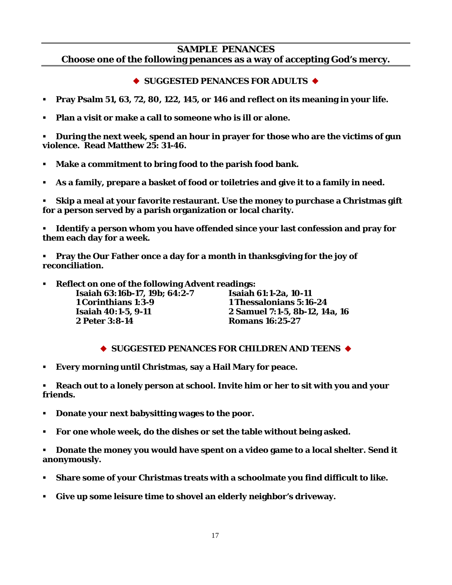#### **SAMPLE PENANCES**

**Choose one of the following penances as a way of accepting God's mercy.**

#### ◆ SUGGESTED PENANCES FOR ADULTS ◆

- **Pray Psalm 51, 63, 72, 80, 122, 145, or 146 and reflect on its meaning in your life.**
- **Plan a visit or make a call to someone who is ill or alone.**

 **During the next week, spend an hour in prayer for those who are the victims of gun violence. Read Matthew 25: 31-46.**

- **Make a commitment to bring food to the parish food bank.**
- **As a family, prepare a basket of food or toiletries and give it to a family in need.**

 **Skip a meal at your favorite restaurant. Use the money to purchase a Christmas gift for a person served by a parish organization or local charity.**

 **Identify a person whom you have offended since your last confession and pray for them each day for a week.**

 **Pray the Our Father once a day for a month in thanksgiving for the joy of reconciliation.**

**Reflect on one of the following Advent readings:**

| Isaiah 63:16b-17, 19b; 64:2-7 | Isaiah 61:1-2a, 10-11          |
|-------------------------------|--------------------------------|
| 1 Corinthians 1:3-9           | 1 Thessalonians 5:16-24        |
| <b>Isaiah 40:1-5, 9-11</b>    | 2 Samuel 7:1-5, 8b-12, 14a, 16 |
| 2 Peter 3:8-14                | <b>Romans 16:25-27</b>         |

#### ◆ SUGGESTED PENANCES FOR CHILDREN AND TEENS ◆

**Every morning until Christmas, say a Hail Mary for peace.**

 **Reach out to a lonely person at school. Invite him or her to sit with you and your friends.**

- **Donate your next babysitting wages to the poor.**
- **For one whole week, do the dishes or set the table without being asked.**

 **Donate the money you would have spent on a video game to a local shelter. Send it anonymously.**

- **Share some of your Christmas treats with a schoolmate you find difficult to like.**
- **Give up some leisure time to shovel an elderly neighbor's driveway.**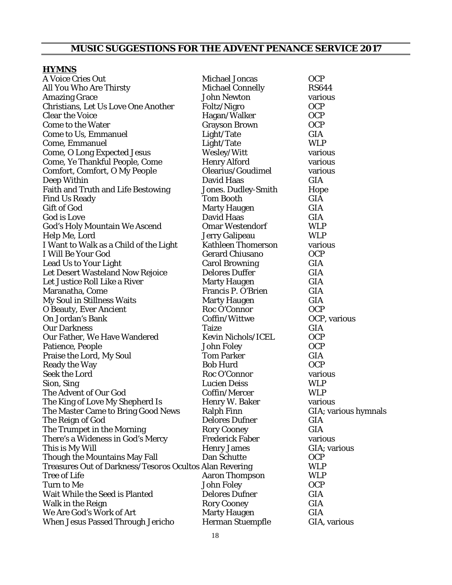## **MUSIC SUGGESTIONS FOR THE ADVENT PENANCE SERVICE 2017**

#### **HYMNS**

| A Voice Cries Out                                       | <b>Michael Joncas</b>     | <b>OCP</b>           |
|---------------------------------------------------------|---------------------------|----------------------|
| All You Who Are Thirsty                                 | <b>Michael Connelly</b>   | <b>RS644</b>         |
| <b>Amazing Grace</b>                                    | <b>John Newton</b>        | various              |
| Christians, Let Us Love One Another                     | Foltz/Nigro               | <b>OCP</b>           |
| <b>Clear the Voice</b>                                  | Hagan/Walker              | <b>OCP</b>           |
| <b>Come to the Water</b>                                | <b>Grayson Brown</b>      | <b>OCP</b>           |
| Come to Us, Emmanuel                                    | Light/Tate                | <b>GIA</b>           |
| Come, Emmanuel                                          | Light/Tate                | <b>WLP</b>           |
| <b>Come, O Long Expected Jesus</b>                      | Wesley/Witt               | various              |
| Come, Ye Thankful People, Come                          | <b>Henry Alford</b>       | various              |
| <b>Comfort, Comfort, O My People</b>                    | Olearius/Goudimel         | various              |
| Deep Within                                             | David Haas                | <b>GIA</b>           |
| <b>Faith and Truth and Life Bestowing</b>               | Jones. Dudley-Smith       | Hope                 |
| <b>Find Us Ready</b>                                    | <b>Tom Booth</b>          | <b>GIA</b>           |
| <b>Gift of God</b>                                      | <b>Marty Haugen</b>       | <b>GIA</b>           |
| God is Love                                             | David Haas                | <b>GIA</b>           |
| <b>God's Holy Mountain We Ascend</b>                    | <b>Omar Westendorf</b>    | <b>WLP</b>           |
| Help Me, Lord                                           | Jerry Galipeau            | <b>WLP</b>           |
| I Want to Walk as a Child of the Light                  | <b>Kathleen Thomerson</b> | various              |
| I Will Be Your God                                      | <b>Gerard Chiusano</b>    | <b>OCP</b>           |
| <b>Lead Us to Your Light</b>                            | <b>Carol Browning</b>     | <b>GIA</b>           |
| Let Desert Wasteland Now Rejoice                        | <b>Delores Duffer</b>     | <b>GIA</b>           |
| Let Justice Roll Like a River                           | <b>Marty Haugen</b>       | <b>GIA</b>           |
| Maranatha, Come                                         | Francis P. O'Brien        | <b>GIA</b>           |
| <b>My Soul in Stillness Waits</b>                       | <b>Marty Haugen</b>       | <b>GIA</b>           |
| <b>O Beauty, Ever Ancient</b>                           | Roc O'Connor              | <b>OCP</b>           |
| On Jordan's Bank                                        | Coffin/Wittwe             | OCP, various         |
| <b>Our Darkness</b>                                     | <b>Taize</b>              | <b>GIA</b>           |
| Our Father, We Have Wandered                            | <b>Kevin Nichols/ICEL</b> | <b>OCP</b>           |
| Patience, People                                        | <b>John Foley</b>         | <b>OCP</b>           |
| Praise the Lord, My Soul                                | <b>Tom Parker</b>         | <b>GIA</b>           |
| <b>Ready the Way</b>                                    | <b>Bob Hurd</b>           | <b>OCP</b>           |
| Seek the Lord                                           | Roc O'Connor              | various              |
| Sion, Sing                                              | <b>Lucien Deiss</b>       | <b>WLP</b>           |
| The Advent of Our God                                   | Coffin/Mercer             | <b>WLP</b>           |
| The King of Love My Shepherd Is                         | Henry W. Baker            | various              |
| The Master Came to Bring Good News                      | <b>Ralph Finn</b>         | GIA; various hymnals |
| The Reign of God                                        | <b>Delores Dufner</b>     | <b>GIA</b>           |
| The Trumpet in the Morning                              | <b>Rory Cooney</b>        | <b>GIA</b>           |
| There's a Wideness in God's Mercy                       | <b>Frederick Faber</b>    | various              |
| This is My Will                                         | <b>Henry James</b>        | GIA; various         |
| <b>Though the Mountains May Fall</b>                    | Dan Schutte               | <b>OCP</b>           |
| Treasures Out of Darkness/Tesoros Ocultos Alan Revering |                           | <b>WLP</b>           |
| <b>Tree of Life</b>                                     | <b>Aaron Thompson</b>     | <b>WLP</b>           |
| <b>Turn to Me</b>                                       | John Foley                | <b>OCP</b>           |
| Wait While the Seed is Planted                          | <b>Delores Dufner</b>     | <b>GIA</b>           |
| Walk in the Reign                                       | <b>Rory Cooney</b>        | <b>GIA</b>           |
| We Are God's Work of Art                                | <b>Marty Haugen</b>       | <b>GIA</b>           |
| <b>When Jesus Passed Through Jericho</b>                | <b>Herman Stuempfle</b>   | GIA, various         |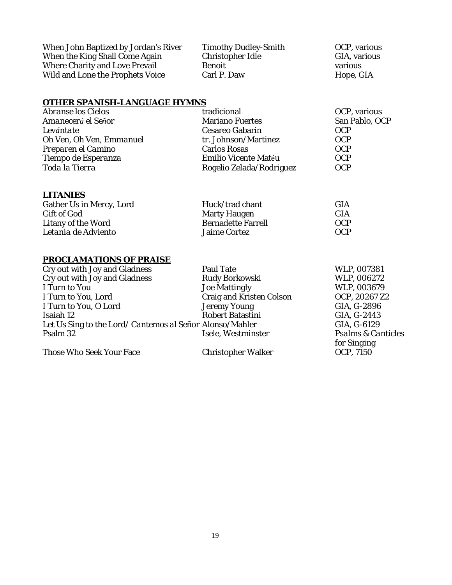When John Baptized by Jordan's River Timothy Dudley-Smith OCP, various<br>When the King Shall Come Again Christopher Idle GIA, various When the King Shall Come Again Christopher Idle<br>
Where Charity and Love Prevail Benoit<br>
Benoit Christopher Idle Charity and Love Prevail Where Charity and Love Prevail Benoit various Wild and Lone the Prophets Voice Carl P. Daw Hope, GIA

#### **OTHER SPANISH-LANGUAGE HYMNS**

| San Pablo, OCP<br>Amanecerá el Señor<br><b>Mariano Fuertes</b>   |  |
|------------------------------------------------------------------|--|
|                                                                  |  |
| <b>Cesareo Gabarin</b><br>Levántate<br><b>OCP</b>                |  |
| Oh Ven, Oh Ven, Emmanuel<br>tr. Johnson/Martinez<br><b>OCP</b>   |  |
| Preparen el Camino<br><b>OCP</b><br><b>Carlos Rosas</b>          |  |
| Tiempo de Esperanza<br><b>OCP</b><br><b>Emilio Vicente Matéu</b> |  |
| Toda la Tierra<br>Rogelio Zelada/Rodriguez<br><b>OCP</b>         |  |

#### **LITANIES**

| Gather Us in Mercy, Lord | Huck/trad chant           | <b>GIA</b> |
|--------------------------|---------------------------|------------|
| Gift of God              | <b>Marty Haugen</b>       | <b>GIA</b> |
| Litany of the Word       | <b>Bernadette Farrell</b> | <b>OCP</b> |
| Letania de Adviento      | <b>Jaime Cortez</b>       | <b>OCP</b> |

#### **PROCLAMATIONS OF PRAISE**

| Cry out with Joy and Gladness                            | Paul Tate                       | WLP, 007381                   |
|----------------------------------------------------------|---------------------------------|-------------------------------|
| Cry out with Joy and Gladness                            | Rudy Borkowski                  | WLP, 006272                   |
| I Turn to You                                            | <b>Joe Mattingly</b>            | WLP, 003679                   |
| I Turn to You, Lord                                      | <b>Craig and Kristen Colson</b> | OCP, 20267 Z2                 |
| I Turn to You, O Lord                                    | <b>Jeremy Young</b>             | GIA, G-2896                   |
| Isaiah 12                                                | <b>Robert Batastini</b>         | GIA, G-2443                   |
| Let Us Sing to the Lord/ Cantemos al Señor Alonso/Mahler |                                 | GIA, G-6129                   |
| Psalm 32                                                 | Isele, Westminster              | <b>Psalms &amp; Canticles</b> |
|                                                          |                                 | for Singing                   |

Those Who Seek Your Face Christopher Walker

*for Singing*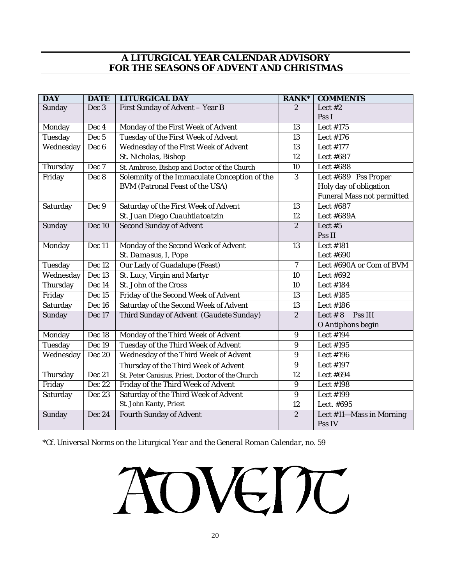#### **A LITURGICAL YEAR CALENDAR ADVISORY FOR THE SEASONS OF ADVENT AND CHRISTMAS**

| <b>DAY</b>      | <b>DATE</b>       | <b>LITURGICAL DAY</b>                            | $RANK^*$         | <b>COMMENTS</b>                   |
|-----------------|-------------------|--------------------------------------------------|------------------|-----------------------------------|
| Sunday          | Dec 3             | First Sunday of Advent - Year B                  | $\overline{2}$   | Lect $#2$                         |
|                 |                   |                                                  |                  | Pss I                             |
| Monday          | Dec <sub>4</sub>  | Monday of the First Week of Advent               | $\overline{13}$  | <b>Lect #175</b>                  |
| Tuesday         | Dec <sub>5</sub>  | <b>Tuesday of the First Week of Advent</b>       | 13               | Lect #176                         |
| Wednesday       | Dec <sub>6</sub>  | <b>Wednesday of the First Week of Advent</b>     | 13               | <b>Lect #177</b>                  |
|                 |                   | St. Nicholas, Bishop                             | 12               | Lect #687                         |
| Thursday        | Dec 7             | St. Ambrose, Bishop and Doctor of the Church     | 10               | Lect #688                         |
| Friday          | Dec 8             | Solemnity of the Immaculate Conception of the    | 3                | Lect #689 Pss Proper              |
|                 |                   | <b>BVM</b> (Patronal Feast of the USA)           |                  | Holy day of obligation            |
|                 |                   |                                                  |                  | <b>Funeral Mass not permitted</b> |
| Saturday        | Dec 9             | Saturday of the First Week of Advent             | 13               | Lect #687                         |
|                 |                   | St. Juan Diego Cuauhtlatoatzin                   | 12               | Lect #689A                        |
| Sunday          | Dec 10            | <b>Second Sunday of Advent</b>                   | $\overline{c}$   | Lect #5                           |
|                 |                   |                                                  |                  | Pss II                            |
| Monday          | Dec 11            | Monday of the Second Week of Advent              | 13               | Lect #181                         |
|                 |                   | St. Damasus, I, Pope                             |                  | Lect #690                         |
| Tuesday         | Dec 12            | <b>Our Lady of Guadalupe (Feast)</b>             | $\overline{7}$   | Lect #690A or Com of BVM          |
| Wednesday       | Dec <sub>13</sub> | St. Lucy, Virgin and Martyr                      | 10               | Lect #692                         |
| Thursday        | Dec 14            | St. John of the Cross                            | 10               | Lect #184                         |
| Friday          | Dec 15            | Friday of the Second Week of Advent              | 13               | <b>Lect #185</b>                  |
| Saturday        | Dec 16            | <b>Saturday of the Second Week of Advent</b>     | 13               | Lect #186                         |
| Sunday          | Dec 17            | Third Sunday of Advent (Gaudete Sunday)          | $\overline{2}$   | Lect $# 8$<br>Pss III             |
|                 |                   |                                                  |                  | O Antiphons begin                 |
| Monday          | Dec 18            | Monday of the Third Week of Advent               | $\boldsymbol{9}$ | Lect #194                         |
| Tuesday         | Dec 19            | Tuesday of the Third Week of Advent              | 9                | Lect #195                         |
| Wednesday       | <b>Dec 20</b>     | Wednesday of the Third Week of Advent            | $\boldsymbol{9}$ | Lect #196                         |
|                 |                   | Thursday of the Third Week of Advent             | $\boldsymbol{9}$ | Lect #197                         |
| Thursday        | <b>Dec 21</b>     | St. Peter Canisius, Priest, Doctor of the Church | 12               | Lect #694                         |
| Friday          | Dec 22            | Friday of the Third Week of Advent               | $\boldsymbol{9}$ | Lect #198                         |
| <b>Saturday</b> | <b>Dec 23</b>     | Saturday of the Third Week of Advent             | $\overline{9}$   | <b>Lect #199</b>                  |
|                 |                   | St. John Kanty, Priest                           | 12               | Lect. #695                        |
| Sunday          | Dec 24            | <b>Fourth Sunday of Advent</b>                   | $\overline{2}$   | Lect #11-Mass in Morning          |
|                 |                   |                                                  |                  | Pss IV                            |

\*Cf. *Universal Norms on the Liturgical Year and the General Roman Calendar*, no. 59

# AOVEMC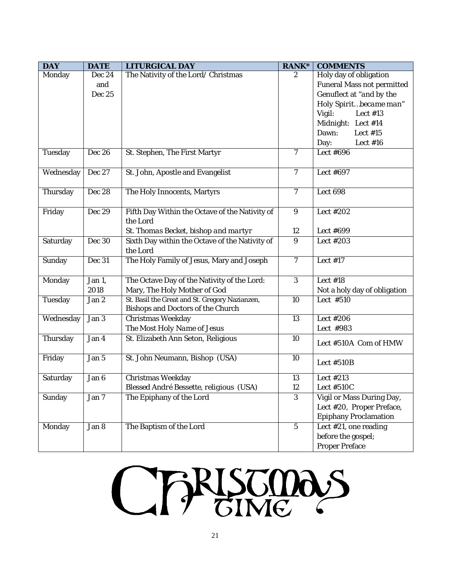| <b>DAY</b>    | <b>DATE</b>   | <b>LITURGICAL DAY</b>                                                                      | <b>RANK*</b>     | <b>COMMENTS</b>                                        |
|---------------|---------------|--------------------------------------------------------------------------------------------|------------------|--------------------------------------------------------|
| Monday        | Dec 24        | The Nativity of the Lord/ Christmas                                                        | 2                | Holy day of obligation                                 |
|               | and           |                                                                                            |                  | <b>Funeral Mass not permitted</b>                      |
|               | Dec 25        |                                                                                            |                  | Genuflect at "and by the                               |
|               |               |                                                                                            |                  | Holy Spiritbecame man"                                 |
|               |               |                                                                                            |                  | Vigil:<br>Lect $#13$                                   |
|               |               |                                                                                            |                  | Midnight: Lect #14                                     |
|               |               |                                                                                            |                  | Dawn:<br>Lect $#15$                                    |
|               |               |                                                                                            |                  | Day:<br>Lect $#16$                                     |
| Tuesday       | <b>Dec 26</b> | St. Stephen, The First Martyr                                                              | 7                | Lect #696                                              |
| Wednesday     | Dec 27        | St. John, Apostle and Evangelist                                                           | $\overline{7}$   | Lect #697                                              |
| Thursday      | <b>Dec 28</b> | The Holy Innocents, Martyrs                                                                | $\overline{7}$   | Lect 698                                               |
| Friday        | <b>Dec 29</b> | Fifth Day Within the Octave of the Nativity of<br>the Lord                                 | $\boldsymbol{9}$ | Lect $\sqrt{\#202}$                                    |
|               |               | St. Thomas Becket, bishop and martyr                                                       | 12               | Lect #699                                              |
| Saturday      | <b>Dec 30</b> | Sixth Day within the Octave of the Nativity of<br>the Lord                                 | $\overline{9}$   | Lect #203                                              |
| Sunday        | Dec 31        | The Holy Family of Jesus, Mary and Joseph                                                  | $\overline{7}$   | Lect $#17$                                             |
| Monday        | Jan 1,        | The Octave Day of the Nativity of the Lord:                                                | $\overline{3}$   | Lect $#18$                                             |
|               | 2018          | Mary, The Holy Mother of God                                                               |                  | Not a holy day of obligation                           |
| Tuesday       | Jan 2         | St. Basil the Great and St. Gregory Nazianzen,<br><b>Bishops and Doctors of the Church</b> | $\overline{10}$  | Lect #510                                              |
| Wednesday     | Jan 3         | <b>Christmas Weekday</b>                                                                   | 13               | Lect #206                                              |
|               |               | The Most Holy Name of Jesus                                                                |                  | Lect #983                                              |
| Thursday      | Jan 4         | St. Elizabeth Ann Seton, Religious                                                         | 10               | Lect #510A Com of HMW                                  |
| Friday        | Jan 5         | St. John Neumann, Bishop (USA)                                                             | 10               | Lect #510B                                             |
| Saturday      | Jan 6         | <b>Christmas Weekday</b>                                                                   | 13               | Lect #213                                              |
|               |               | Blessed André Bessette, religious (USA)                                                    | 12               | Lect #510C                                             |
| Sunday        | Jan 7         | The Epiphany of the Lord                                                                   | $\mathbf{3}$     | Vigil or Mass During Day,<br>Lect #20, Proper Preface, |
|               |               |                                                                                            |                  | <b>Epiphany Proclamation</b>                           |
| <b>Monday</b> | Jan 8         | The Baptism of the Lord                                                                    | $\bf 5$          | Lect #21, one reading                                  |
|               |               |                                                                                            |                  | before the gospel;                                     |
|               |               |                                                                                            |                  | <b>Proper Preface</b>                                  |

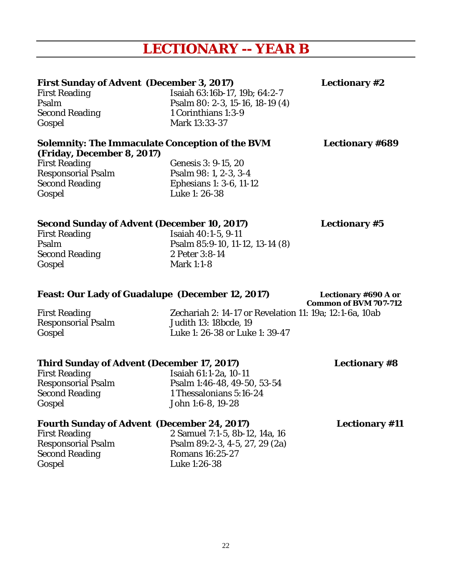# **LECTIONARY -- YEAR B**

#### **First Sunday of Advent (December 3, 2017) Lectionary #2**

First Reading Isaiah 63:16b-17, 19b; 64:2-7 Psalm Psalm 80: 2-3, 15-16, 18-19 (4) Second Reading 1 Corinthians 1:3-9 Gospel Mark 13:33-37

#### **Solemnity: The Immaculate Conception of the BVM Lectionary #689**

**(Friday, December 8, 2017)**  Gospel Luke 1: 26-38

Genesis 3: 9-15, 20 Responsorial Psalm Psalm 98: 1, 2-3, 3-4<br>Second Reading Ephesians 1: 3-6, 11-1 Ephesians 1: 3-6, 11-12

### **Second Sunday of Advent (December 10, 2017) Lectionary #5**

Second Reading 2 Peter 3:8-14<br>
Gospel 2 Mark 1:1-8

First Reading Isaiah 40:1-5, 9-11<br>Psalm 85:9-10, 11-1 Psalm 85:9-10, 11-12, 13-14 (8) Mark  $1:1-8$ 

#### Feast: Our Lady of Guadalupe (December 12, 2017) Lectionary #690 A or

 **Common of BVM 707-712**

Responsorial Psalm

First Reading Zechariah 2: 14-17 or Revelation 11: 19a; 12:1-6a, 10ab Gospel Luke 1: 26-38 or Luke 1: 39-47

#### **Third Sunday of Advent (December 17, 2017) Lectionary #8**

Gospel John 1:6-8, 19-28

First Reading<br>
Responsorial Psalm<br>
Psalm 1:46-48, 49-50 Responsorial Psalm Psalm Psalm 1:46-48, 49-50, 53-54<br>Second Reading 1 Thessalonians 5:16-24 1 Thessalonians 5:16-24

### **Fourth Sunday of Advent (December 24, 2017) Lectionary #11**

Second Reading Romans 16:25-27 Gospel Luke 1:26-38

First Reading 2 Samuel 7:1-5, 8b-12, 14a, 16<br>Responsorial Psalm 2 Samuel 7:1-5, 8b-12, 14a, 16<br>Psalm 89:2-3, 4-5, 27, 29 (2a) Psalm 89:2-3, 4-5, 27, 29 (2a)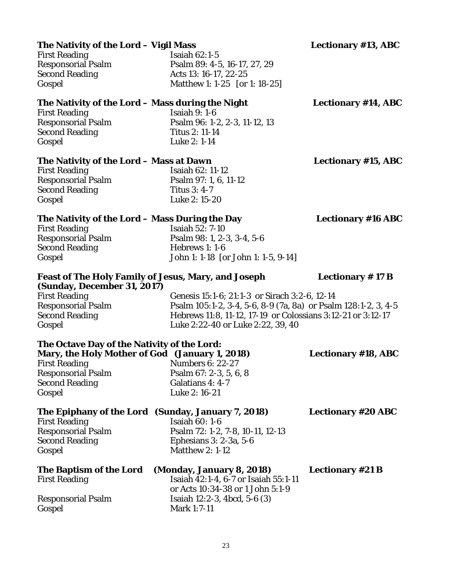or Acts 10:34-38 or 1 John 5:1-9

#### First Reading Isaiah 62:1-5 Responsorial Psalm Psalm Psalm 89: 4-5, 16-17, 27, 29<br>Second Reading Acts 13: 16-17, 22-25 Acts 13: 16-17, 22-25

Gospel Matthew 1: 1-25 [or 1: 18-25]

**The Nativity of the Lord – Mass during the Night Lectionary #14, ABC** First Reading Isaiah 9: 1-6<br>Responsorial Psalm Isaiah 96: 1-2

Psalm 96: 1-2, 2-3, 11-12, 13 Second Reading Titus 2: 11-14 Gospel Luke 2: 1-14

#### **The Nativity of the Lord – Mass at Dawn Lectionary #15, ABC**

First Reading Isaiah 62: 11-12 Responsorial Psalm Psalm 97: 1, 6, 11-12 Second Reading Titus 3: 4-7 Gospel Luke 2: 15-20

#### **The Nativity of the Lord – Mass During the Day Lectionary #16 ABC**

First Reading Isaiah 52: 7-10 Responsorial Psalm Psalm 98: 1, 2-3, 3-4, 5-6 Second Reading Hebrews 1: 1-6 Gospel John 1: 1-18 [or John 1: 1-5, 9-14]

#### **Feast of The Holy Family of Jesus, Mary, and Joseph Lectionary # 17 B (Sunday, December 31, 2017)**

Responsorial Psalm Isaiah 12:2-3, 4bcd, 5-6 (3)

Gospel Mark 1:7-11

First Reading Genesis 15:1-6; 21:1-3 or Sirach 3:2-6, 12-14<br>Responsorial Psalm 195:1-2, 3-4, 5-6, 8-9 (7a, 8a) or Psalr Psalm 105:1-2, 3-4, 5-6, 8-9 (7a, 8a) or Psalm 128:1-2, 3, 4-5 Second Reading Hebrews 11:8, 11-12, 17-19 or Colossians 3:12-21 or 3:12-17 Gospel Luke 2:22-40 or Luke 2:22, 39, 40

| The Octave Day of the Nativity of the Lord:    |                                                    |                           |
|------------------------------------------------|----------------------------------------------------|---------------------------|
| Mary, the Holy Mother of God (January 1, 2018) | <b>Lectionary #18, ABC</b>                         |                           |
| <b>First Reading</b>                           | <b>Numbers 6: 22-27</b>                            |                           |
| <b>Responsorial Psalm</b>                      | Psalm 67: 2-3, 5, 6, 8                             |                           |
| <b>Second Reading</b>                          | Galatians 4: 4-7                                   |                           |
| Gospel                                         | Luke 2: 16-21                                      |                           |
|                                                | The Epiphany of the Lord (Sunday, January 7, 2018) | <b>Lectionary #20 ABC</b> |
| <b>First Reading</b>                           | Isaiah $60:1-6$                                    |                           |
| <b>Responsorial Psalm</b>                      | Psalm 72: 1-2, 7-8, 10-11, 12-13                   |                           |
| <b>Second Reading</b>                          | Ephesians 3: 2-3a, 5-6                             |                           |
| Gospel                                         | <b>Matthew 2: 1-12</b>                             |                           |
| The Baptism of the Lord                        | (Monday, January 8, 2018)                          | <b>Lectionary #21 B</b>   |
| <b>First Reading</b>                           | Isaiah 42:1-4, 6-7 or Isaiah 55:1-11               |                           |

**The Nativity of the Lord – Vigil Mass Lectionary #13, ABC**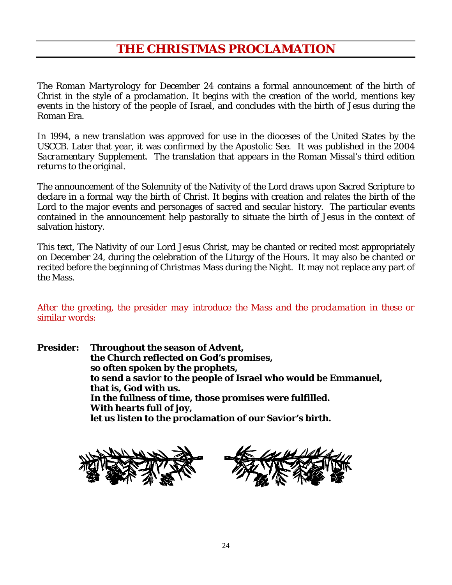## **THE CHRISTMAS PROCLAMATION**

The *Roman Martyrology* for December 24 contains a formal announcement of the birth of Christ in the style of a proclamation. It begins with the creation of the world, mentions key events in the history of the people of Israel, and concludes with the birth of Jesus during the Roman Era.

In 1994, a new translation was approved for use in the dioceses of the United States by the USCCB. Later that year, it was confirmed by the Apostolic See. It was published in the 2004 *Sacramentary Supplement*. The translation that appears in the Roman Missal's third edition returns to the original.

The announcement of the Solemnity of the Nativity of the Lord draws upon Sacred Scripture to declare in a formal way the birth of Christ. It begins with creation and relates the birth of the Lord to the major events and personages of sacred and secular history. The particular events contained in the announcement help pastorally to situate the birth of Jesus in the context of salvation history.

This text, The Nativity of our Lord Jesus Christ, may be chanted or recited most appropriately on December 24, during the celebration of the Liturgy of the Hours. It may also be chanted or recited before the beginning of Christmas Mass during the Night. It may not replace any part of the Mass.

*After the greeting, the presider may introduce the Mass and the proclamation in these or similar words:*

**Presider: Throughout the season of Advent, the Church reflected on God's promises, so often spoken by the prophets, to send a savior to the people of Israel who would be Emmanuel, that is, God with us. In the fullness of time, those promises were fulfilled. With hearts full of joy, let us listen to the proclamation of our Savior's birth.**



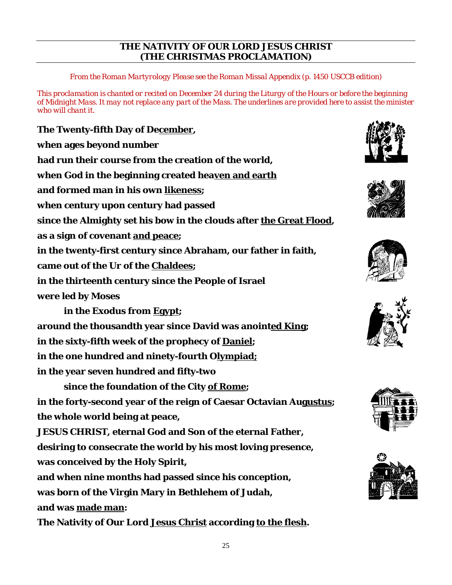#### **THE NATIVITY OF OUR LORD JESUS CHRIST (THE CHRISTMAS PROCLAMATION)**

*From the Roman Martyrology Please see the Roman Missal Appendix (p. 1450 USCCB edition)*

*This proclamation is chanted or recited on December 24 during the Liturgy of the Hours or before the beginning of Midnight Mass. It may not replace any part of the Mass. The underlines are provided here to assist the minister who will chant it.*

**The Twenty-fifth Day of December, when ages beyond number had run their course from the creation of the world, when God in the beginning created heaven and earth and formed man in his own likeness; when century upon century had passed since the Almighty set his bow in the clouds after the Great Flood, as a sign of covenant and peace; in the twenty-first century since Abraham, our father in faith, came out of the Ur of the Chaldees; in the thirteenth century since the People of Israel were led by Moses in the Exodus from Egypt; around the thousandth year since David was anointed King; in the sixty-fifth week of the prophecy of Daniel; in the one hundred and ninety-fourth Olympiad; in the year seven hundred and fifty-two since the foundation of the City of Rome; in the forty-second year of the reign of Caesar Octavian Augustus;**

**the whole world being at peace,** 

**JESUS CHRIST, eternal God and Son of the eternal Father,** 

**desiring to consecrate the world by his most loving presence,**

**was conceived by the Holy Spirit,** 

**and when nine months had passed since his conception,** 

**was born of the Virgin Mary in Bethlehem of Judah,**

**and was made man:**

**The Nativity of Our Lord Jesus Christ according to the flesh.**











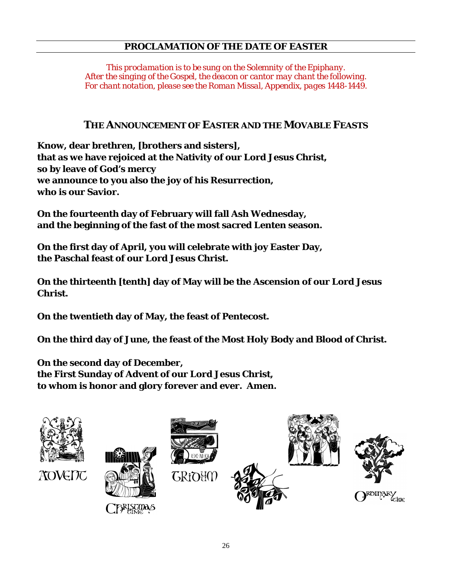#### **PROCLAMATION OF THE DATE OF EASTER**

*This proclamation is to be sung on the Solemnity of the Epiphany. After the singing of the Gospel, the deacon or cantor may chant the following. For chant notation, please see the Roman Missal, Appendix, pages 1448-1449.*

#### **THE ANNOUNCEMENT OF EASTER AND THE MOVABLE FEASTS**

**Know, dear brethren, [brothers and sisters], that as we have rejoiced at the Nativity of our Lord Jesus Christ, so by leave of God's mercy we announce to you also the joy of his Resurrection, who is our Savior.**

**On the fourteenth day of February will fall Ash Wednesday, and the beginning of the fast of the most sacred Lenten season.**

**On the first day of April, you will celebrate with joy Easter Day, the Paschal feast of our Lord Jesus Christ.**

**On the thirteenth [tenth] day of May will be the Ascension of our Lord Jesus Christ.**

**On the twentieth day of May, the feast of Pentecost.**

**On the third day of June, the feast of the Most Holy Body and Blood of Christ.**

**On the second day of December, the First Sunday of Advent of our Lord Jesus Christ, to whom is honor and glory forever and ever. Amen.**



**AOVENU** 

**GRIOHO** 

FIRISTMAS





ROIDARY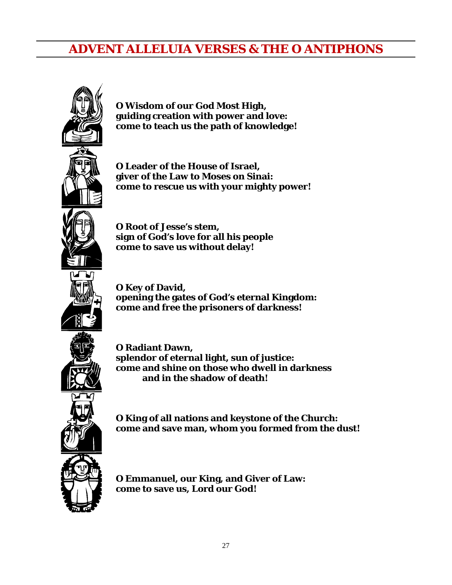## **ADVENT ALLELUIA VERSES & THE O ANTIPHONS**



**O Wisdom of our God Most High, guiding creation with power and love: come to teach us the path of knowledge!**

**O Leader of the House of Israel, giver of the Law to Moses on Sinai: come to rescue us with your mighty power!**

**O Root of Jesse's stem, sign of God's love for all his people come to save us without delay!**

**O Key of David, opening the gates of God's eternal Kingdom: come and free the prisoners of darkness!**

**O Radiant Dawn, splendor of eternal light, sun of justice: come and shine on those who dwell in darkness and in the shadow of death!**

**O King of all nations and keystone of the Church: come and save man, whom you formed from the dust!**



**O Emmanuel, our King, and Giver of Law: come to save us, Lord our God!**